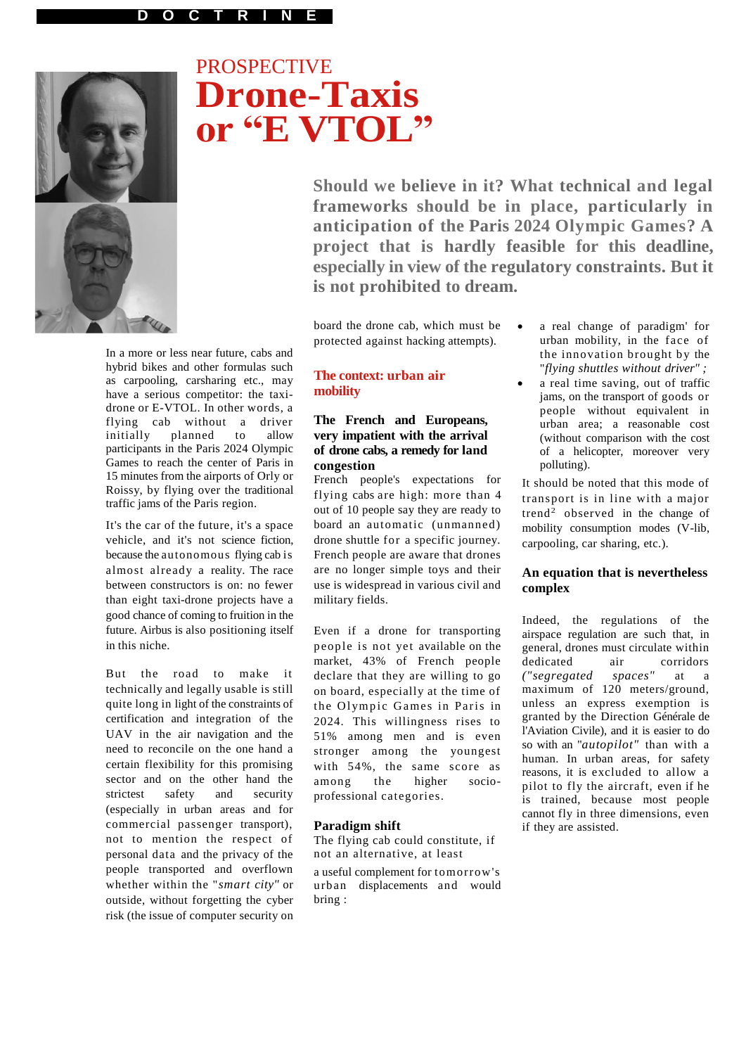

# **PROSPECTIVE Drone-Taxis or "E VTOL"**

**Should we believe in it? What technical and legal frameworks should be in place, particularly in anticipation of the Paris 2024 Olympic Games? A project that is hardly feasible for this deadline, especially in view of the regulatory constraints. But it is not prohibited to dream.**

board the drone cab, which must be protected against hacking attempts).

In a more or less near future, cabs and hybrid bikes and other formulas such as carpooling, carsharing etc., may have a serious competitor: the taxidrone or E-VTOL. In other words, a flying cab without a driver initially planned to allow participants in the Paris 2024 Olympic Games to reach the center of Paris in 15 minutes from the airports of Orly or Roissy, by flying over the traditional traffic jams of the Paris region.

It's the car of the future, it's a space vehicle, and it's not science fiction, because the autonomous flying cab is almost already a reality. The race between constructors is on: no fewer than eight taxi-drone projects have a good chance of coming to fruition in the future. Airbus is also positioning itself in this niche.

But the road to make it technically and legally usable is still quite long in light of the constraints of certification and integration of the UAV in the air navigation and the need to reconcile on the one hand a certain flexibility for this promising sector and on the other hand the strictest safety and security (especially in urban areas and for commercial passenger transport), not to mention the respect of personal data and the privacy of the people transported and overflown whether within the "*smart city"* or outside, without forgetting the cyber risk (the issue of computer security on

## **The context: urban air mobility**

## **The French and Europeans, very impatient with the arrival of drone cabs, a remedy for land congestion**

French people's expectations for flying cabs are high: more than 4 out of 10 people say they are ready to board an automatic (unmanned) drone shuttle for a specific journey. French people are aware that drones are no longer simple toys and their use is widespread in various civil and military fields.

Even if a drone for transporting people is not yet available on the market, 43% of French people declare that they are willing to go on board, especially at the time of the Olympic Games in Paris in 2024. This willingness rises to 51% among men and is even stronger among the youngest with 54%, the same score as among the higher socioprofessional categories.

## **Paradigm shift**

The flying cab could constitute, if not an alternative, at least

a useful complement for tomorrow's urban displacements and would bring :

- a real change of paradigm' for urban mobility, in the face of the innovation brought by the "*flying shuttles without driver" ;*
- a real time saving, out of traffic jams, on the transport of goods or people without equivalent in urban area; a reasonable cost (without comparison with the cost of a helicopter, moreover very polluting).

It should be noted that this mode of transport is in line with a major trend<sup>2</sup> observed in the change of mobility consumption modes (V-lib, carpooling, car sharing, etc.).

#### **An equation that is nevertheless complex**

Indeed, the regulations of the airspace regulation are such that, in general, drones must circulate within dedicated air corridors<br>("segregated spaces" at a *("segregated spaces"* at a maximum of 120 meters/ground, unless an express exemption is granted by the Direction Générale de l'Aviation Civile), and it is easier to do so with an "*autopilot"* than with a human. In urban areas, for safety reasons, it is excluded to allow a pilot to fly the aircraft, even if he is trained, because most people cannot fly in three dimensions, even if they are assisted.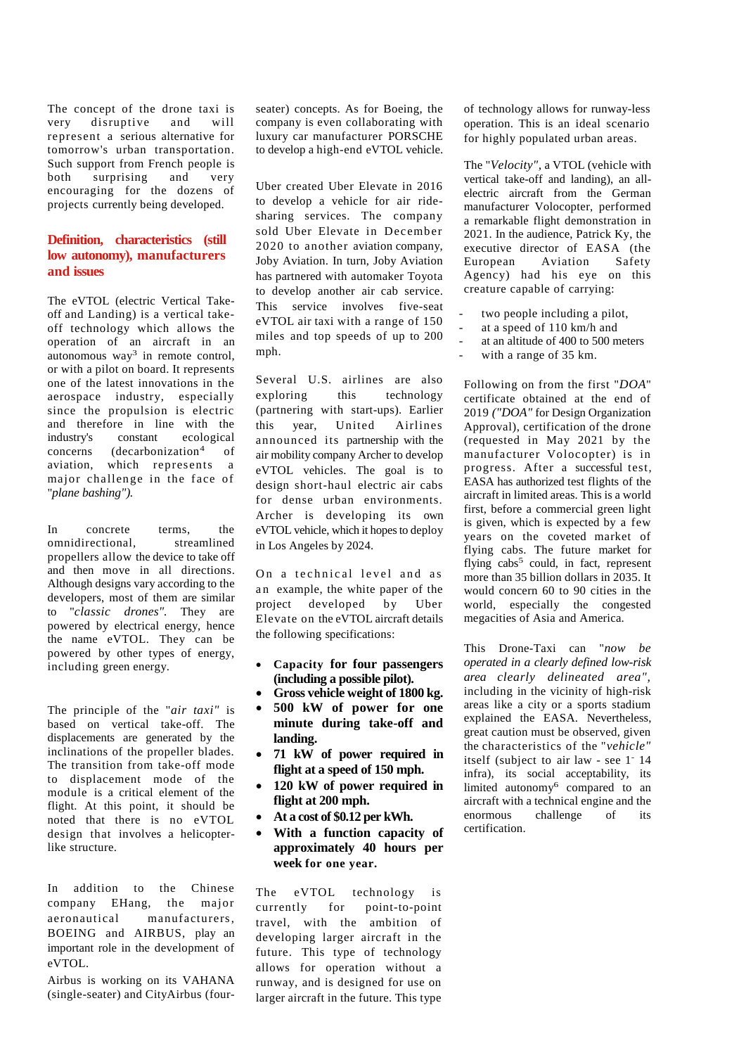The concept of the drone taxi is very disruptive and will represent a serious alternative for tomorrow's urban transportation. Such support from French people is<br>both surprising and very both surprising and very encouraging for the dozens of projects currently being developed.

# **Definition, characteristics (still low autonomy), manufacturers and issues**

The eVTOL (electric Vertical Takeoff and Landing) is a vertical takeoff technology which allows the operation of an aircraft in an  $\mu$ utonomous way<sup>3</sup> in remote control, or with a pilot on board. It represents one of the latest innovations in the aerospace industry, especially since the propulsion is electric and therefore in line with the industry's constant ecological<br>concerns (decarbonization<sup>4</sup> of  $(decarbonization<sup>4</sup>)$ of aviation, which represents a major challenge in the face of "*plane bashing").*

In concrete terms, the omnidirectional, streamlined propellers allow the device to take off and then move in all directions. Although designs vary according to the developers, most of them are similar to "*classic drones".* They are powered by electrical energy, hence the name eVTOL. They can be powered by other types of energy, including green energy.

The principle of the "*air taxi"* is based on vertical take-off. The displacements are generated by the inclinations of the propeller blades. The transition from take-off mode to displacement mode of the module is a critical element of the flight. At this point, it should be noted that there is no eVTOL design that involves a helicopterlike structure.

In addition to the Chinese company EHang, the major aeronautical manufacturers, BOEING and AIRBUS, play an important role in the development of eVTOL.

Airbus is working on its VAHANA (single-seater) and CityAirbus (fourseater) concepts. As for Boeing, the company is even collaborating with luxury car manufacturer PORSCHE to develop a high-end eVTOL vehicle.

Uber created Uber Elevate in 2016 to develop a vehicle for air ridesharing services. The company sold Uber Elevate in December 2020 to another aviation company, Joby Aviation. In turn, Joby Aviation has partnered with automaker Toyota to develop another air cab service. This service involves five-seat eVTOL air taxi with a range of 150 miles and top speeds of up to 200 mph.

Several U.S. airlines are also exploring this technology (partnering with start-ups). Earlier this year, United Airlines announced its partnership with the air mobility company Archer to develop eVTOL vehicles. The goal is to design short-haul electric air cabs for dense urban environments. Archer is developing its own eVTOL vehicle, which it hopes to deploy in Los Angeles by 2024.

On a technical level and as an example, the white paper of the project developed by Uber Elevate on the eVTOL aircraft details the following specifications:

- **Capacity for four passengers (including a possible pilot).**
- **Gross vehicle weight of 1800 kg. 500 kW of power for one**
- **minute during take-off and landing.**
- **71 kW of power required in flight at a speed of 150 mph.**
- **120 kW of power required in flight at 200 mph.**
- **At a cost of \$0.12 per kWh.**
- **With a function capacity of approximately 40 hours per week for one year.**

The eVTOL technology is currently for point-to-point travel, with the ambition of developing larger aircraft in the future. This type of technology allows for operation without a runway, and is designed for use on larger aircraft in the future. This type

of technology allows for runway-less operation. This is an ideal scenario for highly populated urban areas.

The "*Velocity",* a VTOL (vehicle with vertical take-off and landing), an allelectric aircraft from the German manufacturer Volocopter, performed a remarkable flight demonstration in 2021. In the audience, Patrick Ky, the executive director of EASA (the European Aviation Safety Agency) had his eye on this creature capable of carrying:

- two people including a pilot,
- at a speed of 110 km/h and
- at an altitude of 400 to 500 meters
- with a range of 35 km.

Following on from the first "*DOA*" certificate obtained at the end of 2019 *("DOA"* for Design Organization Approval), certification of the drone (requested in May 2021 by the manufacturer Volocopter) is in progress. After a successful test, EASA has authorized test flights of the aircraft in limited areas. This is a world first, before a commercial green light is given, which is expected by a few years on the coveted market of flying cabs. The future market for flying cabs<sup>5</sup> could, in fact, represent more than 35 billion dollars in 2035. It would concern 60 to 90 cities in the world, especially the congested megacities of Asia and America.

This Drone-Taxi can "*now be operated in a clearly defined low-risk area clearly delineated area",*  including in the vicinity of high-risk areas like a city or a sports stadium explained the EASA. Nevertheless, great caution must be observed, given the characteristics of the "*vehicle"*  itself (subject to air law - see 1<sup>-</sup> 14 infra), its social acceptability, its limited autonomy<sup>6</sup> compared to an aircraft with a technical engine and the enormous challenge of its certification.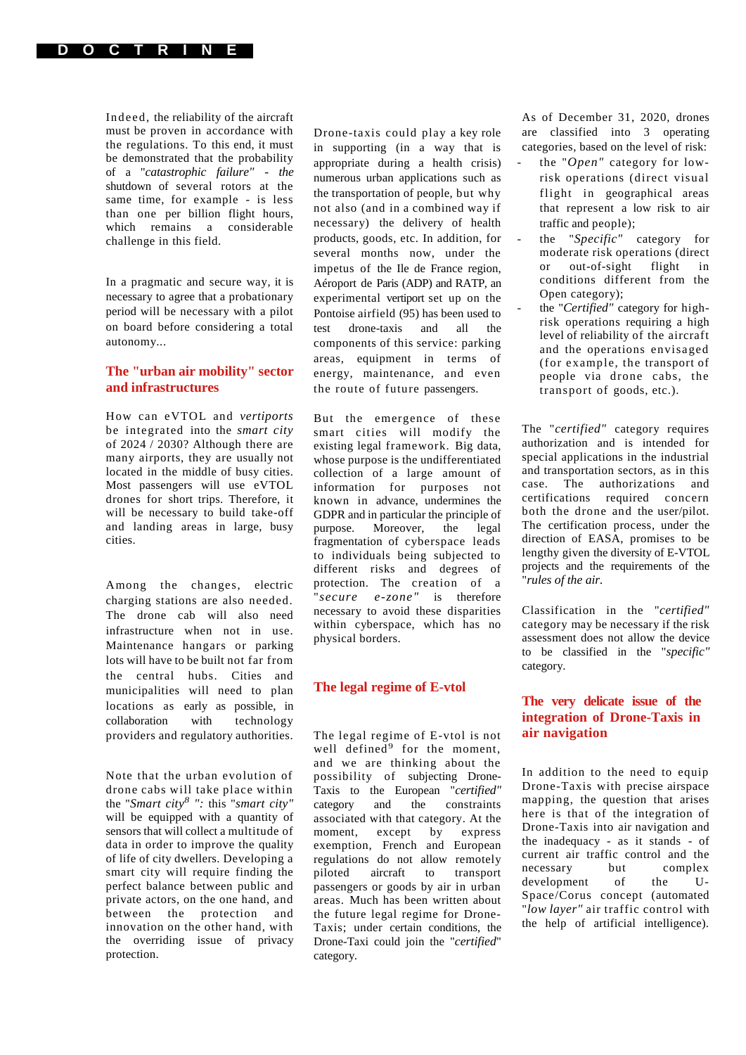

Inde ed, the reliability of the aircraft must be proven in accordance with the regulations. To this end, it must be demonstrated that the probability of a "*catastrophic failure" - the*  shutdown of several rotors at the same time, for example - is less than one per billion flight hours, which remains a considerable challenge in this field.

In a pragmatic and secure way, it is necessary to agree that a probationary period will be necessary with a pilot on board before considering a total autonomy...

## **The "urban air mobility" sector and infrastructures**

How can eVTOL and *vertiports*  be integrated into the *smart city*  of 2024 / 2030? Although there are many airports, they are usually not located in the middle of busy cities. Most passengers will use eVTOL drones for short trips. Therefore, it will be necessary to build take-off and landing areas in large, busy cities.

Among the changes, electric charging stations are also needed. The drone cab will also need infrastructure when not in use. Maintenance hangars or parking lots will have to be built not far from the central hubs. Cities and municipalities will need to plan locations as early as possible, in collaboration with technology providers and regulatory authorities.

Note that the urban evolution of drone cabs will take place within the "*Smart city<sup>8</sup> ":* this "*smart city"*  will be equipped with a quantity of sensors that will collect a multitude of data in order to improve the quality of life of city dwellers. Developing a smart city will require finding the perfect balance between public and private actors, on the one hand, and between the protection and innovation on the other hand, with the overriding issue of privacy protection.

Drone-taxis could play a key role in supporting (in a way that is appropriate during a health crisis) numerous urban applications such as the transportation of people, but why not also (and in a combined way if necessary) the delivery of health products, goods, etc. In addition, for several months now, under the impetus of the Ile de France region, Aéroport de Paris (ADP) and RATP, an experimental vertiport set up on the Pontoise airfield (95) has been used to test drone-taxis and all the components of this service: parking areas, equipment in terms of energy, maintenance, and even the route of future passengers.

But the emergence of these smart cities will modify the existing legal framework. Big data, whose purpose is the undifferentiated collection of a large amount of information for purposes not known in advance, undermines the GDPR and in particular the principle of<br>purpose. Moreover, the legal Moreover, the legal fragmentation of cyberspace leads to individuals being subjected to different risks and degrees of protection. The creation of a "*secure e-zone"* is therefore necessary to avoid these disparities within cyberspace, which has no physical borders.

#### **The legal regime of E-vtol**

The legal regime of E-vtol is not well defined<sup>9</sup> for the moment, and we are thinking about the possibility of subjecting Drone-Taxis to the European "*certified"* category and the constraints associated with that category. At the moment, except by express exemption, French and European regulations do not allow remotely piloted aircraft to transport passengers or goods by air in urban areas. Much has been written about the future legal regime for Drone-Taxis; under certain conditions, the Drone-Taxi could join the "*certified*" category.

As of December 31, 2020, drones are classified into 3 operating categories, based on the level of risk:

- the "*Open"* category for lowrisk operations (direct visual flight in geographical areas that represent a low risk to air traffic and people);
- the "*Specific"* category for moderate risk operations (direct or out-of-sight flight in conditions different from the Open category);
- the "Certified" category for highrisk operations requiring a high level of reliability of the aircraft and the operations envisaged (for example, the transport of people via drone cabs, the transport of goods, etc.).

The "*certified"* category requires authorization and is intended for special applications in the industrial and transportation sectors, as in this case. The authorizations and certifications required concern both the drone and the user/pilot. The certification process, under the direction of EASA, promises to be lengthy given the diversity of E-VTOL projects and the requirements of the "*rules of the air.*

Classification in the "*certified"*  category may be necessary if the risk assessment does not allow the device to be classified in the "*specific"*  category.

# **The very delicate issue of the integration of Drone-Taxis in air navigation**

In addition to the need to equip Drone-Taxis with precise airspace mapping, the question that arises here is that of the integration of Drone-Taxis into air navigation and the inadequacy - as it stands - of current air traffic control and the necessary but complex development of the U-Space/Corus concept (automated "*low layer"* air traffic control with the help of artificial intelligence).